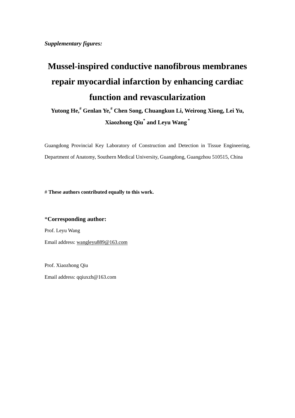*Supplementary figures:*

## **Mussel-inspired conductive nanofibrous membranes repair myocardial infarction by enhancing cardiac function and revascularization**

**Yutong He, # Genlan Ye,# Chen Song, Chuangkun Li, Weirong Xiong, Lei Yu, Xiaozhong Qiu\* and Leyu Wang \***

Guangdong Provincial Key Laboratory of Construction and Detection in Tissue Engineering, Department of Anatomy, Southern Medical University, Guangdong, Guangzhou 510515, China

# **These authors contributed equally to this work.**

\***Corresponding author:**  Prof. Leyu Wang Email address[: wangleyu889@163.com](mailto:wangleyu889@163.com)

Prof. Xiaozhong Qiu Email address[: qqiuxzh@163.com](mailto:qqiuxzh@163.com)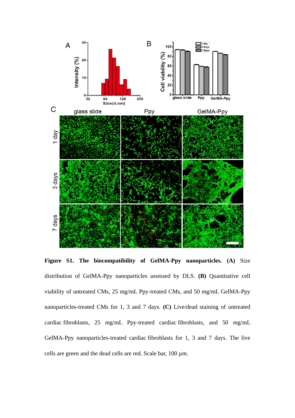

**Figure S1. The biocompatibility of GelMA-Ppy nanoparticles. (A)** Size distribution of GelMA-Ppy nanoparticles assessed by DLS. **(B)** Quantitative cell viability of untreated CMs, 25 mg/mL Ppy-treated CMs, and 50 mg/mL GelMA-Ppy nanoparticles-treated CMs for 1, 3 and 7 days. **(C)** Live/dead staining of untreated cardiac fibroblasts, 25 mg/mL Ppy-treated cardiac fibroblasts, and 50 mg/mL GelMA-Ppy nanoparticles-treated cardiac fibroblasts for 1, 3 and 7 days. The live cells are green and the dead cells are red. Scale bar, 100 µm.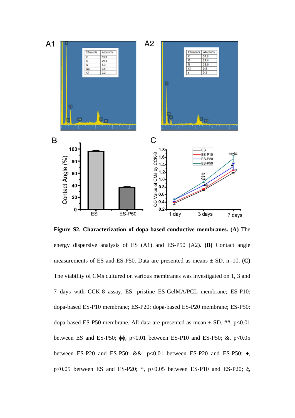

**Figure S2. Characterization of dopa-based conductive membranes. (A)** The energy dispersive analysis of ES (A1) and ES-P50 (A2). **(B)** Contact angle measurements of ES and ES-P50. Data are presented as means  $\pm$  SD. n=10. **(C)** The viability of CMs cultured on various membranes was investigated on 1, 3 and 7 days with CCK-8 assay. ES: pristine ES-GelMA/PCL membrane; ES-P10: dopa-based ES-P10 membrane; ES-P20: dopa-based ES-P20 membrane; ES-P50: dopa-based ES-P50 membrane. All data are presented as mean  $\pm$  SD. ##, p<0.01 between ES and ES-P50;  $\phi\phi$ , p<0.01 between ES-P10 and ES-P50; &, p<0.05 between ES-P20 and ES-P50; &&,  $p<0.01$  between ES-P20 and ES-P50;  $\bullet$ , p<0.05 between ES and ES-P20; \*, p<0.05 between ES-P10 and ES-P20; ξ,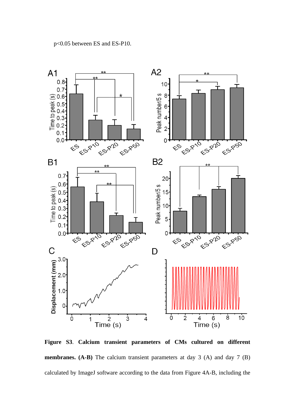

**Figure S3**. **Calcium transient parameters of CMs cultured on different membranes. (A-B)** The calcium transient parameters at day 3 (A) and day 7 **(B)** calculated by ImageJ software according to the data from Figure 4A-B, including the